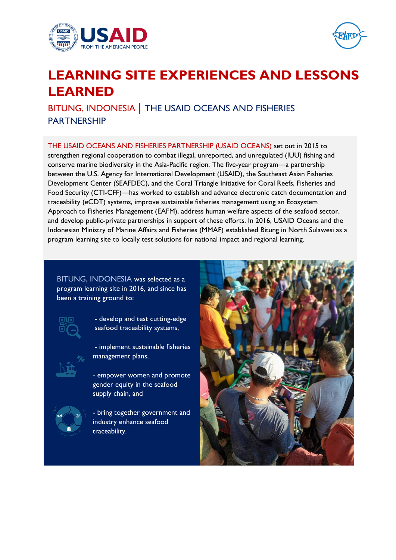



# **LEARNING SITE EXPERIENCES AND LESSONS LEARNED**

BITUNG, INDONESIA **|** THE USAID OCEANS AND FISHERIES PARTNERSHIP

THE USAID OCEANS AND FISHERIES PARTNERSHIP (USAID OCEANS) set out in 2015 to strengthen regional cooperation to combat illegal, unreported, and unregulated (IUU) fishing and conserve marine biodiversity in the Asia-Pacific region. The five-year program—a partnership between the U.S. Agency for International Development (USAID), the Southeast Asian Fisheries Development Center (SEAFDEC), and the Coral Triangle Initiative for Coral Reefs, Fisheries and Food Security (CTI-CFF)—has worked to establish and advance electronic catch documentation and traceability (eCDT) systems, improve sustainable fisheries management using an Ecosystem Approach to Fisheries Management (EAFM), address human welfare aspects of the seafood sector, and develop public-private partnerships in support of these efforts. In 2016, USAID Oceans and the Indonesian Ministry of Marine Affairs and Fisheries (MMAF) established Bitung in North Sulawesi as a program learning site to locally test solutions for national impact and regional learning.

BITUNG, INDONESIA was selected as a program learning site in 2016, and since has been a training ground to:



- develop and test cutting-edge seafood traceability systems,

- implement sustainable fisheries management plans,
- empower women and promote gender equity in the seafood supply chain, and



- bring together government and industry enhance seafood traceability.

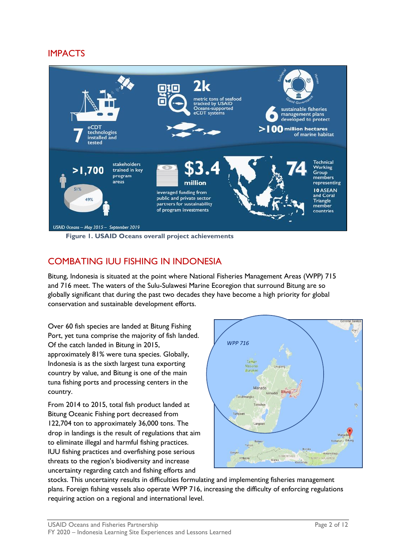# IMPACTS



**Figure 1. USAID Oceans overall project achievements** 

# COMBATING IUU FISHING IN INDONESIA

Bitung, Indonesia is situated at the point where National Fisheries Management Areas (WPP) 715 and 716 meet. The waters of the Sulu-Sulawesi Marine Ecoregion that surround Bitung are so globally significant that during the past two decades they have become a high priority for global conservation and sustainable development efforts.

Over 60 fish species are landed at Bitung Fishing Port, yet tuna comprise the majority of fish landed. Of the catch landed in Bitung in 2015, approximately 81% were tuna species. Globally, Indonesia is as the sixth largest tuna exporting country by value, and Bitung is one of the main tuna fishing ports and processing centers in the country.

From 2014 to 2015, total fish product landed at Bitung Oceanic Fishing port decreased from 122,704 ton to approximately 36,000 tons. The drop in landings is the result of regulations that aim to eliminate illegal and harmful fishing practices. IUU fishing practices and overfishing pose serious threats to the region's biodiversity and increase uncertainty regarding catch and fishing efforts and



stocks. This uncertainty results in difficulties formulating and implementing fisheries management plans. Foreign fishing vessels also operate WPP 716, increasing the difficulty of enforcing regulations requiring action on a regional and international level.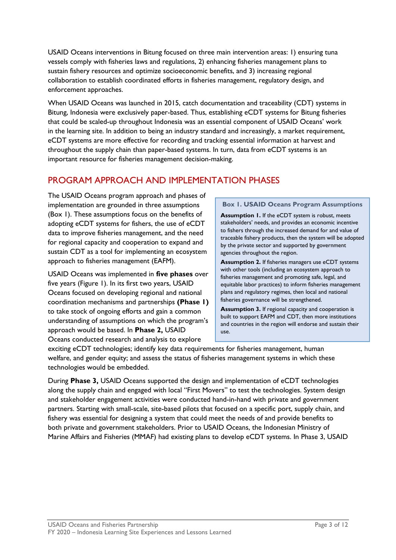USAID Oceans interventions in Bitung focused on three main intervention areas: 1) ensuring tuna vessels comply with fisheries laws and regulations, 2) enhancing fisheries management plans to sustain fishery resources and optimize socioeconomic benefits, and 3) increasing regional collaboration to establish coordinated efforts in fisheries management, regulatory design, and enforcement approaches.

When USAID Oceans was launched in 2015, catch documentation and traceability (CDT) systems in Bitung, Indonesia were exclusively paper-based. Thus, establishing eCDT systems for Bitung fisheries that could be scaled-up throughout Indonesia was an essential component of USAID Oceans' work in the learning site. In addition to being an industry standard and increasingly, a market requirement, eCDT systems are more effective for recording and tracking essential information at harvest and throughout the supply chain than paper-based systems. In turn, data from eCDT systems is an important resource for fisheries management decision-making.

# PROGRAM APPROACH AND IMPLEMENTATION PHASES

The USAID Oceans program approach and phases of implementation are grounded in three assumptions (Box 1). These assumptions focus on the benefits of adopting eCDT systems for fishers, the use of eCDT data to improve fisheries management, and the need for regional capacity and cooperation to expand and sustain CDT as a tool for implementing an ecosystem approach to fisheries management (EAFM).

USAID Oceans was implemented in **five phases** over five years (Figure 1). In its first two years, USAID Oceans focused on developing regional and national coordination mechanisms and partnerships **(Phase 1)** to take stock of ongoing efforts and gain a common understanding of assumptions on which the program's approach would be based. In **Phase 2,** USAID Oceans conducted research and analysis to explore

### **Box 1. USAID Oceans Program Assumptions**

**Assumption 1.** If the eCDT system is robust, meets stakeholders' needs, and provides an economic incentive to fishers through the increased demand for and value of traceable fishery products, then the system will be adopted by the private sector and supported by government agencies throughout the region.

**Assumption 2.** If fisheries managers use eCDT systems with other tools (including an ecosystem approach to fisheries management and promoting safe, legal, and equitable labor practices) to inform fisheries management plans and regulatory regimes, then local and national fisheries governance will be strengthened.

**Assumption 3.** If regional capacity and cooperation is built to support EAFM and CDT, then more institutions and countries in the region will endorse and sustain their use.

exciting eCDT technologies; identify key data requirements for fisheries management, human welfare, and gender equity; and assess the status of fisheries management systems in which these technologies would be embedded.

During **Phase 3,** USAID Oceans supported the design and implementation of eCDT technologies along the supply chain and engaged with local "First Movers" to test the technologies. System design and stakeholder engagement activities were conducted hand-in-hand with private and government partners. Starting with small-scale, site-based pilots that focused on a specific port, supply chain, and fishery was essential for designing a system that could meet the needs of and provide benefits to both private and government stakeholders. Prior to USAID Oceans, the Indonesian Ministry of Marine Affairs and Fisheries (MMAF) had existing plans to develop eCDT systems. In Phase 3, USAID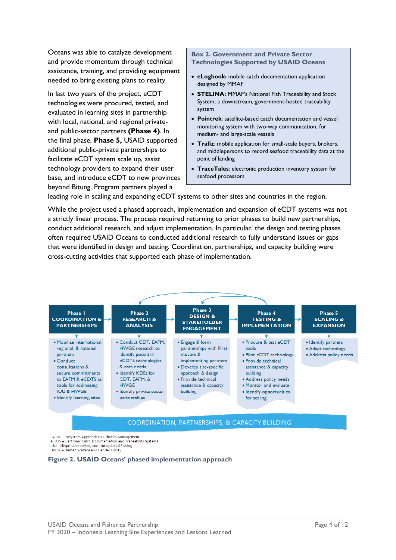Oceans was able to catalyze development and provide momentum through technical assistance, training, and providing equipment needed to bring existing plans to reality.

In last two years of the project, eCDT technologies were procured, tested, and evaluated in learning sites in partnership with local, national, and regional privateand public-sector partners **(Phase 4)**. In the final phase, **Phase 5,** USAID supported additional public-private partnerships to facilitate eCDT system scale up, assist technology providers to expand their user base, and introduce eCDT to new provinces beyond Bitung. Program partners played a

**Box 2. Government and Private Sector Technologies Supported by USAID Oceans**

- **eLogbook:** mobile catch documentation application designed by MMAF
- **STELINA:** MMAF's National Fish Traceability and Stock System; a downstream, government-hosted traceability system
- **Pointrek**: satellite-based catch documentation and vessel monitoring system with two-way communication, for medium- and large-scale vessels
- **Trafiz**: mobile application for small-scale buyers, brokers, and middlepersons to record seafood traceability data at the point of landing
- **TraceTales**: electronic production inventory system for seafood processors

leading role in scaling and expanding eCDT systems to other sites and countries in the region.

While the project used a phased approach, implementation and expansion of eCDT systems was not a strictly linear process. The process required returning to prior phases to build new partnerships, conduct additional research, and adjust implementation. In particular, the design and testing phases often required USAID Oceans to conducted additional research to fully understand issues or gaps that were identified in design and testing. Coordination, partnerships, and capacity building were cross-cutting activities that supported each phase of implementation.



EAFM - Ecosystem Approach to Fisheries Management eCDTS - Electronic Catch Documentation and Traceability Systems IUU - Illegal, Unreported, and Unregulated Fishing<br>HWGE - Human Welfare and Gender Equity

**Figure 2. USAID Oceans' phased implementation approach**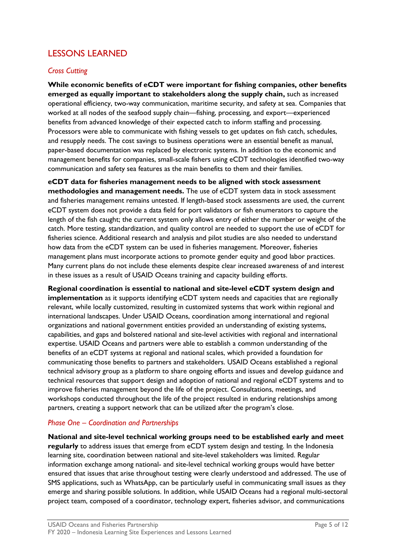# LESSONS LEARNED

## *Cross Cutting*

**While economic benefits of eCDT were important for fishing companies, other benefits emerged as equally important to stakeholders along the supply chain,** such as increased operational efficiency, two-way communication, maritime security, and safety at sea. Companies that worked at all nodes of the seafood supply chain—fishing, processing, and export—experienced benefits from advanced knowledge of their expected catch to inform staffing and processing. Processors were able to communicate with fishing vessels to get updates on fish catch, schedules, and resupply needs. The cost savings to business operations were an essential benefit as manual, paper-based documentation was replaced by electronic systems. In addition to the economic and management benefits for companies, small-scale fishers using eCDT technologies identified two-way communication and safety sea features as the main benefits to them and their families.

**eCDT data for fisheries management needs to be aligned with stock assessment methodologies and management needs.** The use of eCDT system data in stock assessment and fisheries management remains untested. If length-based stock assessments are used, the current eCDT system does not provide a data field for port validators or fish enumerators to capture the length of the fish caught; the current system only allows entry of either the number or weight of the catch. More testing, standardization, and quality control are needed to support the use of eCDT for fisheries science. Additional research and analysis and pilot studies are also needed to understand how data from the eCDT system can be used in fisheries management. Moreover, fisheries management plans must incorporate actions to promote gender equity and good labor practices. Many current plans do not include these elements despite clear increased awareness of and interest in these issues as a result of USAID Oceans training and capacity building efforts.

**Regional coordination is essential to national and site-level eCDT system design and implementation** as it supports identifying eCDT system needs and capacities that are regionally relevant, while locally customized, resulting in customized systems that work within regional and international landscapes. Under USAID Oceans, coordination among international and regional organizations and national government entities provided an understanding of existing systems, capabilities, and gaps and bolstered national and site-level activities with regional and international expertise. USAID Oceans and partners were able to establish a common understanding of the benefits of an eCDT systems at regional and national scales, which provided a foundation for communicating those benefits to partners and stakeholders. USAID Oceans established a regional technical advisory group as a platform to share ongoing efforts and issues and develop guidance and technical resources that support design and adoption of national and regional eCDT systems and to improve fisheries management beyond the life of the project. Consultations, meetings, and workshops conducted throughout the life of the project resulted in enduring relationships among partners, creating a support network that can be utilized after the program's close.

## *Phase One – Coordination and Partnerships*

**National and site-level technical working groups need to be established early and meet regularly** to address issues that emerge from eCDT system design and testing. In the Indonesia learning site, coordination between national and site-level stakeholders was limited. Regular information exchange among national- and site-level technical working groups would have better ensured that issues that arise throughout testing were clearly understood and addressed. The use of SMS applications, such as WhatsApp, can be particularly useful in communicating small issues as they emerge and sharing possible solutions. In addition, while USAID Oceans had a regional multi-sectoral project team, composed of a coordinator, technology expert, fisheries advisor, and communications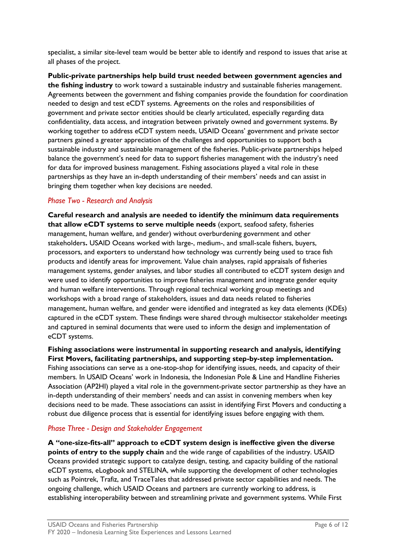specialist, a similar site-level team would be better able to identify and respond to issues that arise at all phases of the project.

**Public-private partnerships help build trust needed between government agencies and the fishing industry** to work toward a sustainable industry and sustainable fisheries management. Agreements between the government and fishing companies provide the foundation for coordination needed to design and test eCDT systems. Agreements on the roles and responsibilities of government and private sector entities should be clearly articulated, especially regarding data confidentiality, data access, and integration between privately owned and government systems. By working together to address eCDT system needs, USAID Oceans' government and private sector partners gained a greater appreciation of the challenges and opportunities to support both a sustainable industry and sustainable management of the fisheries. Public-private partnerships helped balance the government's need for data to support fisheries management with the industry's need for data for improved business management. Fishing associations played a vital role in these partnerships as they have an in-depth understanding of their members' needs and can assist in bringing them together when key decisions are needed.

## *Phase Two - Research and Analysis*

**Careful research and analysis are needed to identify the minimum data requirements that allow eCDT systems to serve multiple needs** (export, seafood safety, fisheries management, human welfare, and gender) without overburdening government and other stakeholders**.** USAID Oceans worked with large-, medium-, and small-scale fishers, buyers, processors, and exporters to understand how technology was currently being used to trace fish products and identify areas for improvement. Value chain analyses, rapid appraisals of fisheries management systems, gender analyses, and labor studies all contributed to eCDT system design and were used to identify opportunities to improve fisheries management and integrate gender equity and human welfare interventions. Through regional technical working group meetings and workshops with a broad range of stakeholders, issues and data needs related to fisheries management, human welfare, and gender were identified and integrated as key data elements (KDEs) captured in the eCDT system. These findings were shared through multisector stakeholder meetings and captured in seminal documents that were used to inform the design and implementation of eCDT systems.

**Fishing associations were instrumental in supporting research and analysis, identifying First Movers, facilitating partnerships, and supporting step-by-step implementation.** Fishing associations can serve as a one-stop-shop for identifying issues, needs, and capacity of their members. In USAID Oceans' work in Indonesia, the Indonesian Pole & Line and Handline Fisheries Association (AP2HI) played a vital role in the government-private sector partnership as they have an in-depth understanding of their members' needs and can assist in convening members when key decisions need to be made. These associations can assist in identifying First Movers and conducting a robust due diligence process that is essential for identifying issues before engaging with them.

## *Phase Three - Design and Stakeholder Engagement*

**A "one-size-fits-all" approach to eCDT system design is ineffective given the diverse points of entry to the supply chain** and the wide range of capabilities of the industry. USAID Oceans provided strategic support to catalyze design, testing, and capacity building of the national eCDT systems, eLogbook and STELINA, while supporting the development of other technologies such as Pointrek, Trafiz, and TraceTales that addressed private sector capabilities and needs. The ongoing challenge, which USAID Oceans and partners are currently working to address, is establishing interoperability between and streamlining private and government systems. While First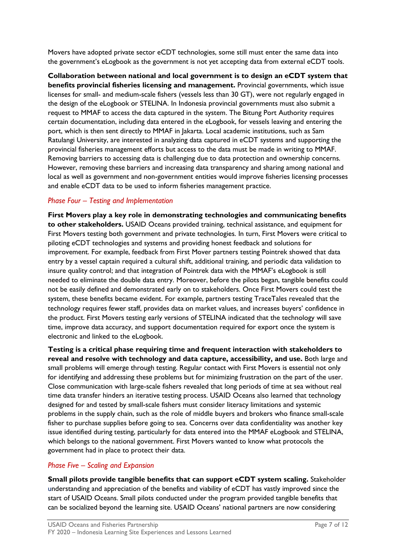Movers have adopted private sector eCDT technologies, some still must enter the same data into the government's eLogbook as the government is not yet accepting data from external eCDT tools.

**Collaboration between national and local government is to design an eCDT system that benefits provincial fisheries licensing and management.** Provincial governments, which issue licenses for small- and medium-scale fishers (vessels less than 30 GT), were not regularly engaged in the design of the eLogbook or STELINA. In Indonesia provincial governments must also submit a request to MMAF to access the data captured in the system. The Bitung Port Authority requires certain documentation, including data entered in the eLogbook, for vessels leaving and entering the port, which is then sent directly to MMAF in Jakarta. Local academic institutions, such as Sam Ratulangi University, are interested in analyzing data captured in eCDT systems and supporting the provincial fisheries management efforts but access to the data must be made in writing to MMAF. Removing barriers to accessing data is challenging due to data protection and ownership concerns. However, removing these barriers and increasing data transparency and sharing among national and local as well as government and non-government entities would improve fisheries licensing processes and enable eCDT data to be used to inform fisheries management practice.

## *Phase Four – Testing and Implementation*

**First Movers play a key role in demonstrating technologies and communicating benefits to other stakeholders.** USAID Oceans provided training, technical assistance, and equipment for First Movers testing both government and private technologies. In turn, First Movers were critical to piloting eCDT technologies and systems and providing honest feedback and solutions for improvement. For example, feedback from First Mover partners testing Pointrek showed that data entry by a vessel captain required a cultural shift, additional training, and periodic data validation to insure quality control; and that integration of Pointrek data with the MMAF's eLogbook is still needed to eliminate the double data entry. Moreover, before the pilots began, tangible benefits could not be easily defined and demonstrated early on to stakeholders. Once First Movers could test the system, these benefits became evident. For example, partners testing TraceTales revealed that the technology requires fewer staff, provides data on market values, and increases buyers' confidence in the product. First Movers testing early versions of STELINA indicated that the technology will save time, improve data accuracy, and support documentation required for export once the system is electronic and linked to the eLogbook.

**Testing is a critical phase requiring time and frequent interaction with stakeholders to reveal and resolve with technology and data capture, accessibility, and use.** Both large and small problems will emerge through testing. Regular contact with First Movers is essential not only for identifying and addressing these problems but for minimizing frustration on the part of the user. Close communication with large-scale fishers revealed that long periods of time at sea without real time data transfer hinders an iterative testing process. USAID Oceans also learned that technology designed for and tested by small-scale fishers must consider literacy limitations and systemic problems in the supply chain, such as the role of middle buyers and brokers who finance small-scale fisher to purchase supplies before going to sea. Concerns over data confidentiality was another key issue identified during testing, particularly for data entered into the MMAF eLogbook and STELINA, which belongs to the national government. First Movers wanted to know what protocols the government had in place to protect their data.

## *Phase Five – Scaling and Expansion*

**Small pilots provide tangible benefits that can support eCDT system scaling.** Stakeholder understanding and appreciation of the benefits and viability of eCDT has vastly improved since the start of USAID Oceans. Small pilots conducted under the program provided tangible benefits that can be socialized beyond the learning site. USAID Oceans' national partners are now considering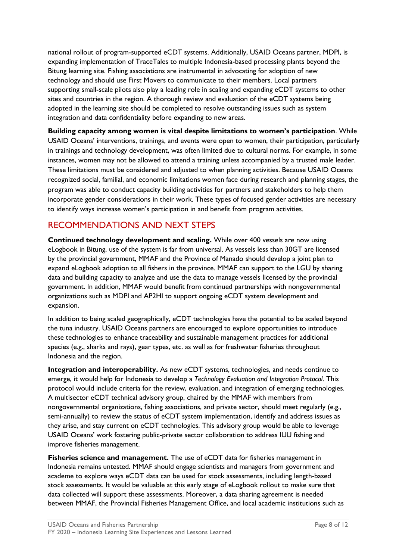national rollout of program-supported eCDT systems. Additionally, USAID Oceans partner, MDPI, is expanding implementation of TraceTales to multiple Indonesia-based processing plants beyond the Bitung learning site. Fishing associations are instrumental in advocating for adoption of new technology and should use First Movers to communicate to their members. Local partners supporting small-scale pilots also play a leading role in scaling and expanding eCDT systems to other sites and countries in the region. A thorough review and evaluation of the eCDT systems being adopted in the learning site should be completed to resolve outstanding issues such as system integration and data confidentiality before expanding to new areas.

**Building capacity among women is vital despite limitations to women's participation**. While USAID Oceans' interventions, trainings, and events were open to women, their participation, particularly in trainings and technology development, was often limited due to cultural norms. For example, in some instances, women may not be allowed to attend a training unless accompanied by a trusted male leader. These limitations must be considered and adjusted to when planning activities. Because USAID Oceans recognized social, familial, and economic limitations women face during research and planning stages, the program was able to conduct capacity building activities for partners and stakeholders to help them incorporate gender considerations in their work. These types of focused gender activities are necessary to identify ways increase women's participation in and benefit from program activities.

# RECOMMENDATIONS AND NEXT STEPS

**Continued technology development and scaling.** While over 400 vessels are now using eLogbook in Bitung, use of the system is far from universal. As vessels less than 30GT are licensed by the provincial government, MMAF and the Province of Manado should develop a joint plan to expand eLogbook adoption to all fishers in the province. MMAF can support to the LGU by sharing data and building capacity to analyze and use the data to manage vessels licensed by the provincial government. In addition, MMAF would benefit from continued partnerships with nongovernmental organizations such as MDPI and AP2HI to support ongoing eCDT system development and expansion.

In addition to being scaled geographically, eCDT technologies have the potential to be scaled beyond the tuna industry. USAID Oceans partners are encouraged to explore opportunities to introduce these technologies to enhance traceability and sustainable management practices for additional species (e.g., sharks and rays), gear types, etc. as well as for freshwater fisheries throughout Indonesia and the region.

**Integration and interoperability.** As new eCDT systems, technologies, and needs continue to emerge, it would help for Indonesia to develop a *Technology Evaluation and Integration Protocol*. This protocol would include criteria for the review, evaluation, and integration of emerging technologies. A multisector eCDT technical advisory group, chaired by the MMAF with members from nongovernmental organizations, fishing associations, and private sector, should meet regularly (e.g., semi-annually) to review the status of eCDT system implementation, identify and address issues as they arise, and stay current on eCDT technologies. This advisory group would be able to leverage USAID Oceans' work fostering public-private sector collaboration to address IUU fishing and improve fisheries management.

**Fisheries science and management.** The use of eCDT data for fisheries management in Indonesia remains untested. MMAF should engage scientists and managers from government and academe to explore ways eCDT data can be used for stock assessments, including length-based stock assessments. It would be valuable at this early stage of eLogbook rollout to make sure that data collected will support these assessments. Moreover, a data sharing agreement is needed between MMAF, the Provincial Fisheries Management Office, and local academic institutions such as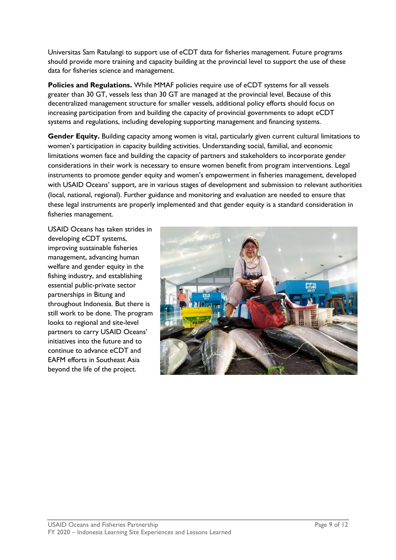Universitas Sam Ratulangi to support use of eCDT data for fisheries management. Future programs should provide more training and capacity building at the provincial level to support the use of these data for fisheries science and management.

**Policies and Regulations.** While MMAF policies require use of eCDT systems for all vessels greater than 30 GT, vessels less than 30 GT are managed at the provincial level. Because of this decentralized management structure for smaller vessels, additional policy efforts should focus on increasing participation from and building the capacity of provincial governments to adopt eCDT systems and regulations, including developing supporting management and financing systems.

**Gender Equity.** Building capacity among women is vital, particularly given current cultural limitations to women's participation in capacity building activities. Understanding social, familial, and economic limitations women face and building the capacity of partners and stakeholders to incorporate gender considerations in their work is necessary to ensure women benefit from program interventions. Legal instruments to promote gender equity and women's empowerment in fisheries management, developed with USAID Oceans' support, are in various stages of development and submission to relevant authorities (local, national, regional). Further guidance and monitoring and evaluation are needed to ensure that these legal instruments are properly implemented and that gender equity is a standard consideration in fisheries management.

USAID Oceans has taken strides in developing eCDT systems, improving sustainable fisheries management, advancing human welfare and gender equity in the fishing industry, and establishing essential public-private sector partnerships in Bitung and throughout Indonesia. But there is still work to be done. The program looks to regional and site-level partners to carry USAID Oceans' initiatives into the future and to continue to advance eCDT and EAFM efforts in Southeast Asia beyond the life of the project.

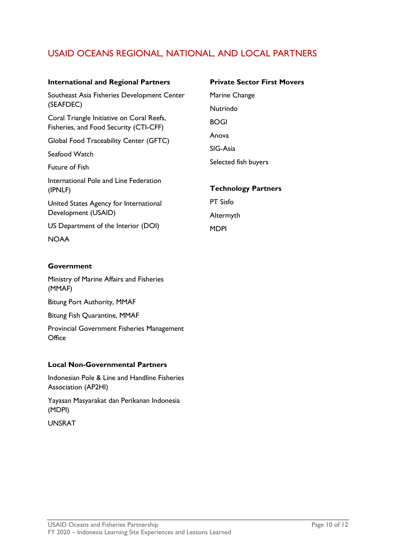# USAID OCEANS REGIONAL, NATIONAL, AND LOCAL PARTNERS

#### **International and Regional Partners**

Southeast Asia Fisheries Development Center (SEAFDEC)

Coral Triangle Initiative on Coral Reefs, Fisheries, and Food Security (CTI-CFF)

Global Food Traceability Center (GFTC)

Seafood Watch

Future of Fish

International Pole and Line Federation (IPNLF)

United States Agency for International Development (USAID)

US Department of the Interior (DOI)

**NOAA** 

### **Government**

Ministry of Marine Affairs and Fisheries (MMAF)

Bitung Port Authority, MMAF

Bitung Fish Quarantine, MMAF

Provincial Government Fisheries Management **Office** 

#### **Local Non-Governmental Partners**

Indonesian Pole & Line and Handline Fisheries Association (AP2HI)

Yayasan Masyarakat dan Perikanan Indonesia (MDPI)

UNSRAT

**Private Sector First Movers** Marine Change Nutrindo BOGI Anova SIG-Asia Selected fish buyers

### **Technology Partners**

PT Sisfo Altermyth MDPI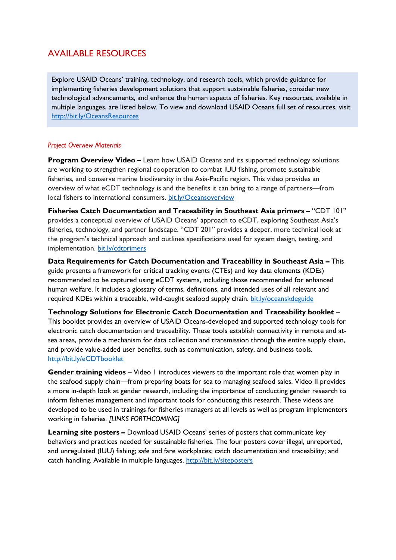# AVAILABLE RESOURCES

Explore USAID Oceans' training, technology, and research tools, which provide guidance for implementing fisheries development solutions that support sustainable fisheries, consider new technological advancements, and enhance the human aspects of fisheries. Key resources, available in multiple languages, are listed below. To view and download USAID Oceans full set of resources, visit <http://bit.ly/OceansResources>

## *Project Overview Materials*

**Program Overview Video –** Learn how USAID Oceans and its supported technology solutions are working to strengthen regional cooperation to combat IUU fishing, promote sustainable fisheries, and conserve marine biodiversity in the Asia-Pacific region. This video provides an overview of what eCDT technology is and the benefits it can bring to a range of partners—from local fishers to international consumers. [bit.ly/Oceansoverview](http://bit.ly/Oceansoverview)

**Fisheries Catch Documentation and Traceability in Southeast Asia primers –** "CDT 101" provides a conceptual overview of USAID Oceans' approach to eCDT, exploring Southeast Asia's fisheries, technology, and partner landscape. "CDT 201" provides a deeper, more technical look at the program's technical approach and outlines specifications used for system design, testing, and implementation. [bit.ly/cdtprimers](http://www.bit.ly/cdtprimers)

**Data Requirements for Catch Documentation and Traceability in Southeast Asia –** This guide presents a framework for critical tracking events (CTEs) and key data elements (KDEs) recommended to be captured using eCDT systems, including those recommended for enhanced human welfare. It includes a glossary of terms, definitions, and intended uses of all relevant and required KDEs within a traceable, wild-caught seafood supply chain. [bit.ly/oceanskdeguide](http://www.bit.ly/oceanskdeguide)

**Technology Solutions for Electronic Catch Documentation and Traceability booklet** – This booklet provides an overview of USAID Oceans-developed and supported technology tools for electronic catch documentation and traceability. These tools establish connectivity in remote and atsea areas, provide a mechanism for data collection and transmission through the entire supply chain, and provide value-added user benefits, such as communication, safety, and business tools. <http://bit.ly/eCDTbooklet>

**Gender training videos** – Video 1 introduces viewers to the important role that women play in the seafood supply chain—from preparing boats for sea to managing seafood sales. Video II provides a more in-depth look at gender research, including the importance of conducting gender research to inform fisheries management and important tools for conducting this research. These videos are developed to be used in trainings for fisheries managers at all levels as well as program implementors working in fisheries*. [LINKS FORTHCOMING]*

**Learning site posters –** Download USAID Oceans' series of posters that communicate key behaviors and practices needed for sustainable fisheries. The four posters cover illegal, unreported, and unregulated (IUU) fishing; safe and fare workplaces; catch documentation and traceability; and catch handling. Available in multiple languages.<http://bit.ly/siteposters>